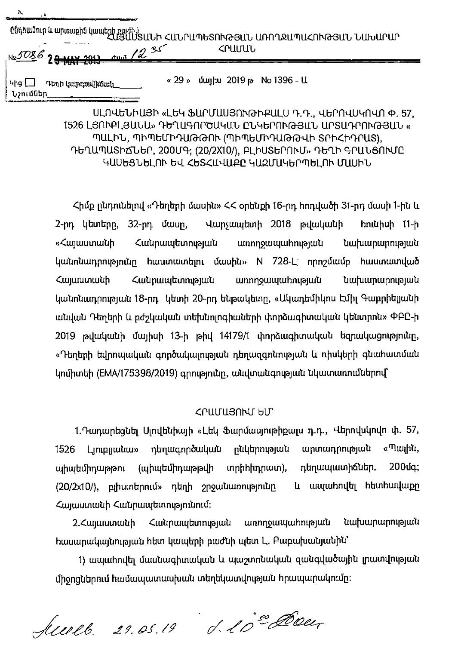|                                                  | Ընդհանուր և արտաքին կապերի բաժիմ<br>ՀԱՅԱՍՏԱՆԻ ՀԱՆՐԱՊԵՏՈՒԹՅԱՆ ԱՌՈՂՋԱՊԱՀՈՒԹՅԱՆ ՆԱԽԱՐԱՐ |  |
|--------------------------------------------------|--------------------------------------------------------------------------------------|--|
| Ne 5086 28 MAY 2013 dues 12 35                   | ՀՐԱՄԱՆ                                                                               |  |
| Դեղի կարգավիճակ<br>  Կից [_ <u> </u><br>Նշումներ | « $29$ » $\mu$ uluppu $2019$ p No $1396 - U$                                         |  |

ՍԼՈՎԵՆԻԱՅԻ «ԼԵԿ ՖԱՐՄԱՍՅՈՒԹԻՔԱԼՍ Դ.Դ., ՎԵՐՈՎՍԿՈՎՈ Փ. 57, 1526 LՅՈՒԲԼՅԱՆԱ» ԴԵՂԱԳՈՐԾԱԿԱՆ ԸՆԿԵՐՈՒԹՅԱՆ ԱՐՏԱԴՐՈՒԹՅԱՆ « ՊԱԼԻՆ, ՊԻՊԵՄԻԴԱԹԹՈՒ (ՊԻՊԵՄԻԴԱԹԹՎԻ SՐԻՀԻԴՐԱՏ), ԴԵՂԱՊԱՏԻՃՆԵՐ, 200ՄԳ; (20/2X10/), ԲԼԻՍՏԵՐՈՒՄ» ԴԵՂԻ ԳՐԱՆՅՈՒՄԸ ԿԱՍԵՑՆԵԼՈՒ ԵՎ ՀԵՏՀԱՎԱՔԸ ԿԱԶՄԱԿԵՐՊԵԼՈՒ ՄԱՍԻՆ

Հիմք ընդունելով «Դեղերի մասին» ՀՀ օրենքի 16-րդ հոդվածի 31-րդ մասի 1-ին և 2-րդ կետերը, 32-րդ մասը, Վարչապետի 2018 թվականի հունիսի 11-ի «Հայաստանի Հանրապետության առողջապահության նախարարության կանոնադրությունը հաստատելու մասին» N 728-L որոշմամբ հաստատված Հայաստանի Հանրապետության առողջապահության նախարարության կանոնադրության 18-րդ. կետի 20-րդ ենթակետը, «Ակադեմիկոս Էմիլ Գաբրիելյանի անվան Դեղերի և բժշկական տեխնոլոգիաների փորձագիտական կենտրոն» ՓԲԸ-ի 2019 թվականի մայիսի 13-ի թիվ 14179/1 փորձագիտական եզրակացությունը, «Դեղերի եվրոպական գործակալության դեղազգոնության և ռիսկերի գնահատման կոմիտեի (EMA/175398/2019) գրությունը, անվտանգության նկատառումներով՝

## caruariltu- bu'

1. Դադարեցնել Սլովենիայի «Լեկ Ֆարմասյութիքալս դ.դ., Վերովսկովո փ. 57, 1526 Լյուբլյանա» դեղագործական ընկերության արտադրության «Պալին, պիպեմիդաթթու (պիպեմիդաթթվի տրիհիդրատ), դեղապատիճներ, 200մգ; (20/2x10/), բլիստերում» դեղի շրջանառությունը և ապահովել հետհավաքը Հայաստանի Հանրապետությունում։

2.Հայաստանի Հանրապետության առողջապահության նախարարության hասարակայնության հետ կապերի բաժնի պետ Լ. Բաբախանյանին՝

1) ապահովել մասնագիտական և պաշտոնական զանգվածային լրատվության միջոցներում համապատասխան տեղեկատվության հրապարակումը։

Auerel. 29.05.19 d. 1000 Cover